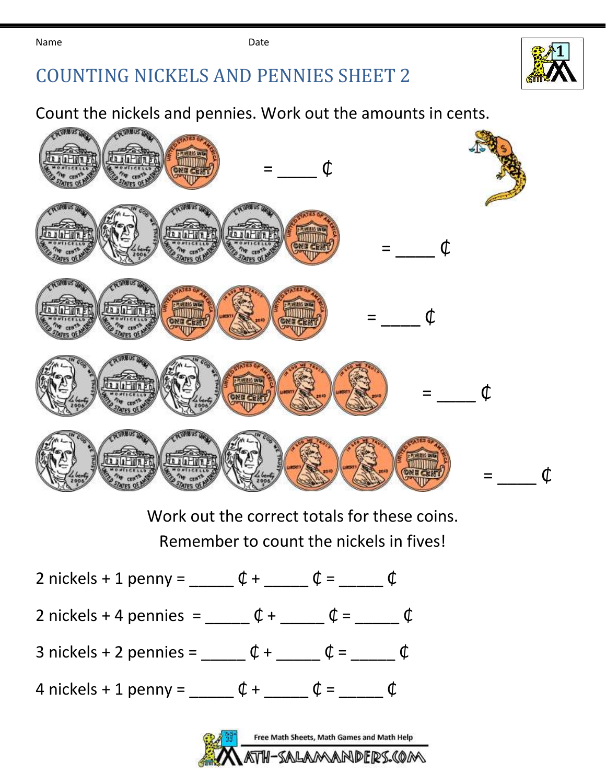Name **Date Date Date** 





Count the nickels and pennies. Work out the amounts in cents.



Work out the correct totals for these coins. Remember to count the nickels in fives!